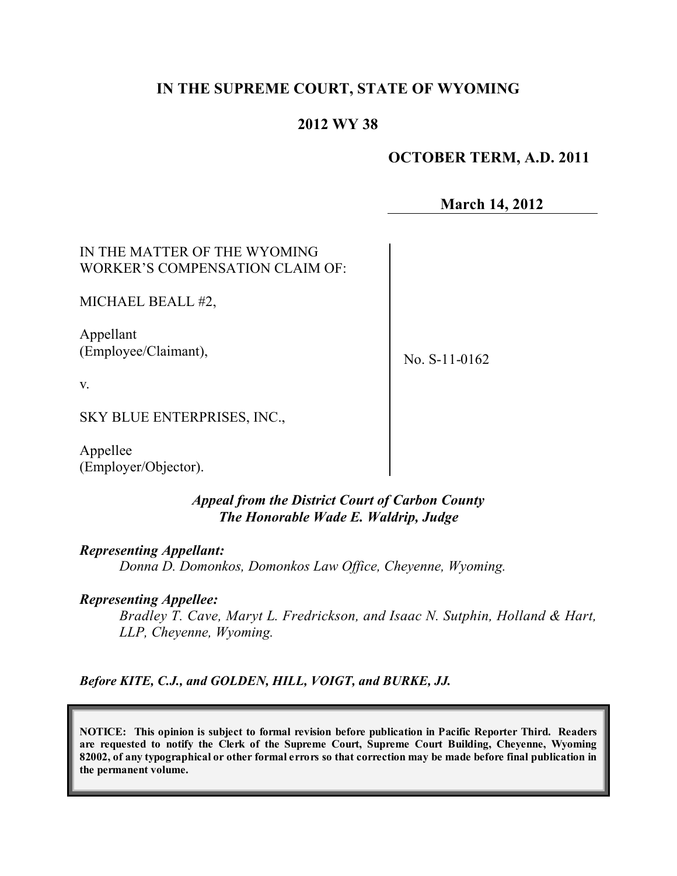# **IN THE SUPREME COURT, STATE OF WYOMING**

# **2012 WY 38**

# **OCTOBER TERM, A.D. 2011**

**March 14, 2012**

IN THE MATTER OF THE WYOMING WORKER'S COMPENSATION CLAIM OF:

MICHAEL BEALL #2,

Appellant (Employee/Claimant),

No. S-11-0162

v.

SKY BLUE ENTERPRISES, INC.,

Appellee (Employer/Objector).

### *Appeal from the District Court of Carbon County The Honorable Wade E. Waldrip, Judge*

#### *Representing Appellant:*

*Donna D. Domonkos, Domonkos Law Office, Cheyenne, Wyoming.*

# *Representing Appellee:*

*Bradley T. Cave, Maryt L. Fredrickson, and Isaac N. Sutphin, Holland & Hart, LLP, Cheyenne, Wyoming.*

*Before KITE, C.J., and GOLDEN, HILL, VOIGT, and BURKE, JJ.*

**NOTICE: This opinion is subject to formal revision before publication in Pacific Reporter Third. Readers are requested to notify the Clerk of the Supreme Court, Supreme Court Building, Cheyenne, Wyoming** 82002, of any typographical or other formal errors so that correction may be made before final publication in **the permanent volume.**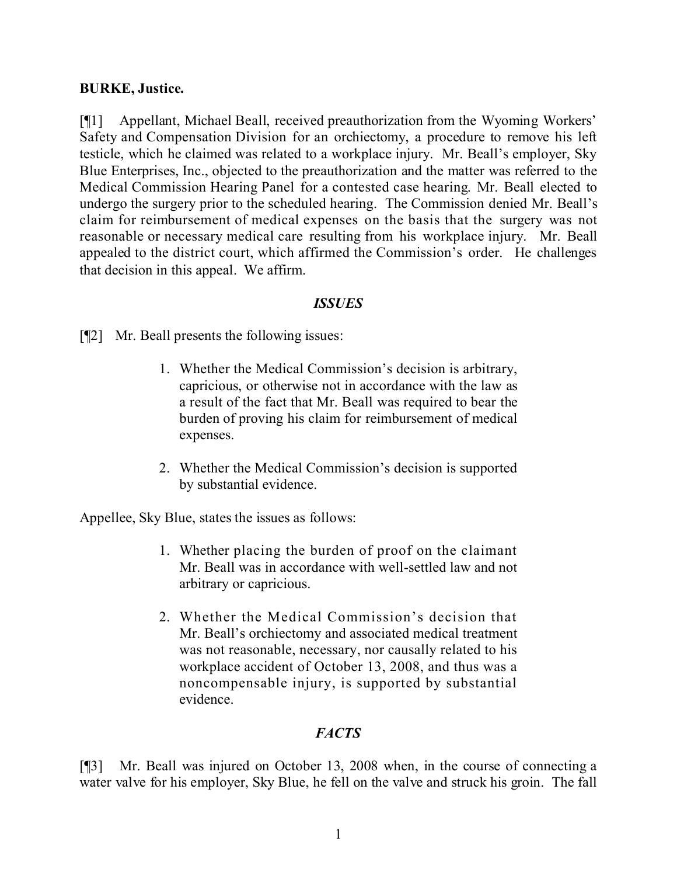### **BURKE, Justice.**

[¶1] Appellant, Michael Beall, received preauthorization from the Wyoming Workers' Safety and Compensation Division for an orchiectomy, a procedure to remove his left testicle, which he claimed was related to a workplace injury. Mr. Beall's employer, Sky Blue Enterprises, Inc., objected to the preauthorization and the matter was referred to the Medical Commission Hearing Panel for a contested case hearing. Mr. Beall elected to undergo the surgery prior to the scheduled hearing. The Commission denied Mr. Beall's claim for reimbursement of medical expenses on the basis that the surgery was not reasonable or necessary medical care resulting from his workplace injury. Mr. Beall appealed to the district court, which affirmed the Commission's order. He challenges that decision in this appeal. We affirm.

### *ISSUES*

[¶2] Mr. Beall presents the following issues:

- 1. Whether the Medical Commission's decision is arbitrary, capricious, or otherwise not in accordance with the law as a result of the fact that Mr. Beall was required to bear the burden of proving his claim for reimbursement of medical expenses.
- 2. Whether the Medical Commission's decision is supported by substantial evidence.

Appellee, Sky Blue, states the issues as follows:

- 1. Whether placing the burden of proof on the claimant Mr. Beall was in accordance with well-settled law and not arbitrary or capricious.
- 2. Whether the Medical Commission's decision that Mr. Beall's orchiectomy and associated medical treatment was not reasonable, necessary, nor causally related to his workplace accident of October 13, 2008, and thus was a noncompensable injury, is supported by substantial evidence.

# *FACTS*

[¶3] Mr. Beall was injured on October 13, 2008 when, in the course of connecting a water valve for his employer, Sky Blue, he fell on the valve and struck his groin. The fall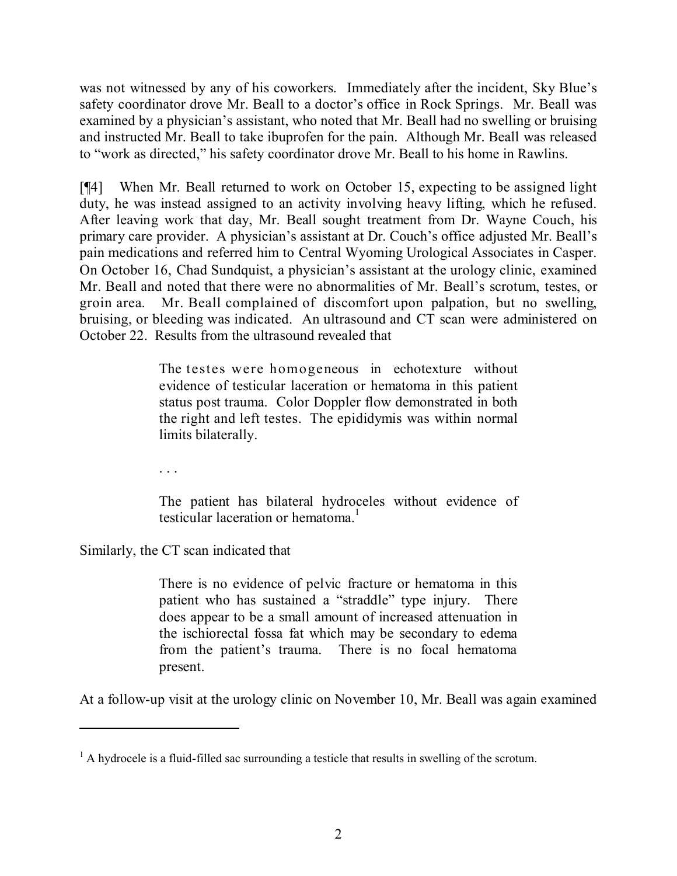was not witnessed by any of his coworkers. Immediately after the incident, Sky Blue's safety coordinator drove Mr. Beall to a doctor's office in Rock Springs. Mr. Beall was examined by a physician's assistant, who noted that Mr. Beall had no swelling or bruising and instructed Mr. Beall to take ibuprofen for the pain. Although Mr. Beall was released to "work as directed," his safety coordinator drove Mr. Beall to his home in Rawlins.

[¶4] When Mr. Beall returned to work on October 15, expecting to be assigned light duty, he was instead assigned to an activity involving heavy lifting, which he refused. After leaving work that day, Mr. Beall sought treatment from Dr. Wayne Couch, his primary care provider. A physician's assistant at Dr. Couch's office adjusted Mr. Beall's pain medications and referred him to Central Wyoming Urological Associates in Casper. On October 16, Chad Sundquist, a physician's assistant at the urology clinic, examined Mr. Beall and noted that there were no abnormalities of Mr. Beall's scrotum, testes, or groin area. Mr. Beall complained of discomfort upon palpation, but no swelling, bruising, or bleeding was indicated. An ultrasound and CT scan were administered on October 22. Results from the ultrasound revealed that

> The testes were homogeneous in echotexture without evidence of testicular laceration or hematoma in this patient status post trauma. Color Doppler flow demonstrated in both the right and left testes. The epididymis was within normal limits bilaterally.

. . .

The patient has bilateral hydroceles without evidence of testicular laceration or hematoma. 1

Similarly, the CT scan indicated that

There is no evidence of pelvic fracture or hematoma in this patient who has sustained a "straddle" type injury. There does appear to be a small amount of increased attenuation in the ischiorectal fossa fat which may be secondary to edema from the patient's trauma. There is no focal hematoma present.

At a follow-up visit at the urology clinic on November 10, Mr. Beall was again examined

 $<sup>1</sup>$  A hydrocele is a fluid-filled sac surrounding a testicle that results in swelling of the scrotum.</sup>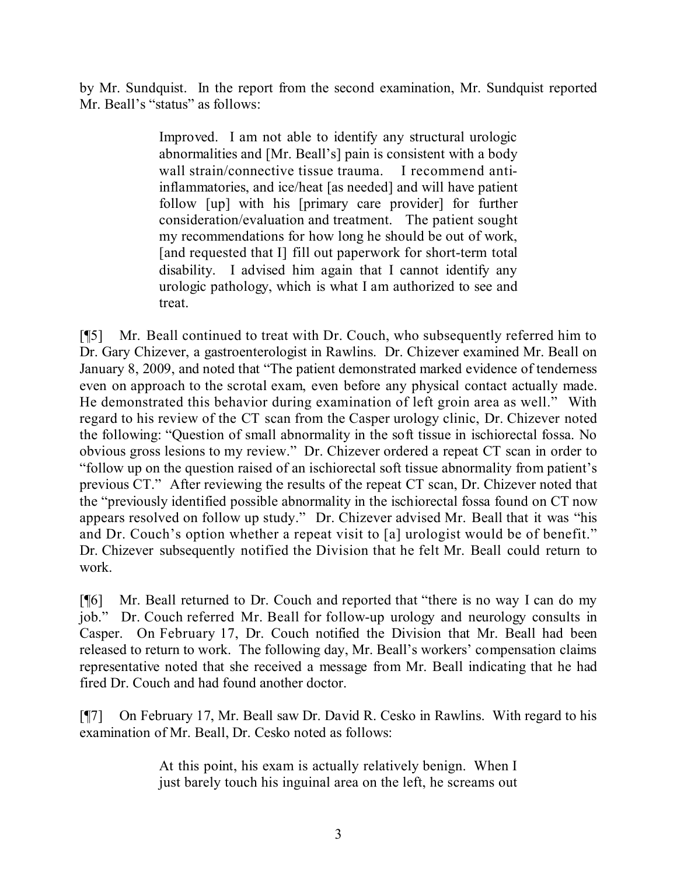by Mr. Sundquist. In the report from the second examination, Mr. Sundquist reported Mr. Beall's "status" as follows:

> Improved. I am not able to identify any structural urologic abnormalities and [Mr. Beall's] pain is consistent with a body wall strain/connective tissue trauma. I recommend antiinflammatories, and ice/heat [as needed] and will have patient follow [up] with his [primary care provider] for further consideration/evaluation and treatment. The patient sought my recommendations for how long he should be out of work, [and requested that I] fill out paperwork for short-term total disability. I advised him again that I cannot identify any urologic pathology, which is what I am authorized to see and treat.

[¶5] Mr. Beall continued to treat with Dr. Couch, who subsequently referred him to Dr. Gary Chizever, a gastroenterologist in Rawlins. Dr. Chizever examined Mr. Beall on January 8, 2009, and noted that "The patient demonstrated marked evidence of tenderness even on approach to the scrotal exam, even before any physical contact actually made. He demonstrated this behavior during examination of left groin area as well." With regard to his review of the CT scan from the Casper urology clinic, Dr. Chizever noted the following: "Question of small abnormality in the soft tissue in ischiorectal fossa. No obvious gross lesions to my review." Dr. Chizever ordered a repeat CT scan in order to "follow up on the question raised of an ischiorectal soft tissue abnormality from patient's previous CT." After reviewing the results of the repeat CT scan, Dr. Chizever noted that the "previously identified possible abnormality in the ischiorectal fossa found on CT now appears resolved on follow up study." Dr. Chizever advised Mr. Beall that it was "his and Dr. Couch's option whether a repeat visit to [a] urologist would be of benefit." Dr. Chizever subsequently notified the Division that he felt Mr. Beall could return to work.

[¶6] Mr. Beall returned to Dr. Couch and reported that "there is no way I can do my job." Dr. Couch referred Mr. Beall for follow-up urology and neurology consults in Casper. On February 17, Dr. Couch notified the Division that Mr. Beall had been released to return to work. The following day, Mr. Beall's workers' compensation claims representative noted that she received a message from Mr. Beall indicating that he had fired Dr. Couch and had found another doctor.

[¶7] On February 17, Mr. Beall saw Dr. David R. Cesko in Rawlins. With regard to his examination of Mr. Beall, Dr. Cesko noted as follows:

> At this point, his exam is actually relatively benign. When I just barely touch his inguinal area on the left, he screams out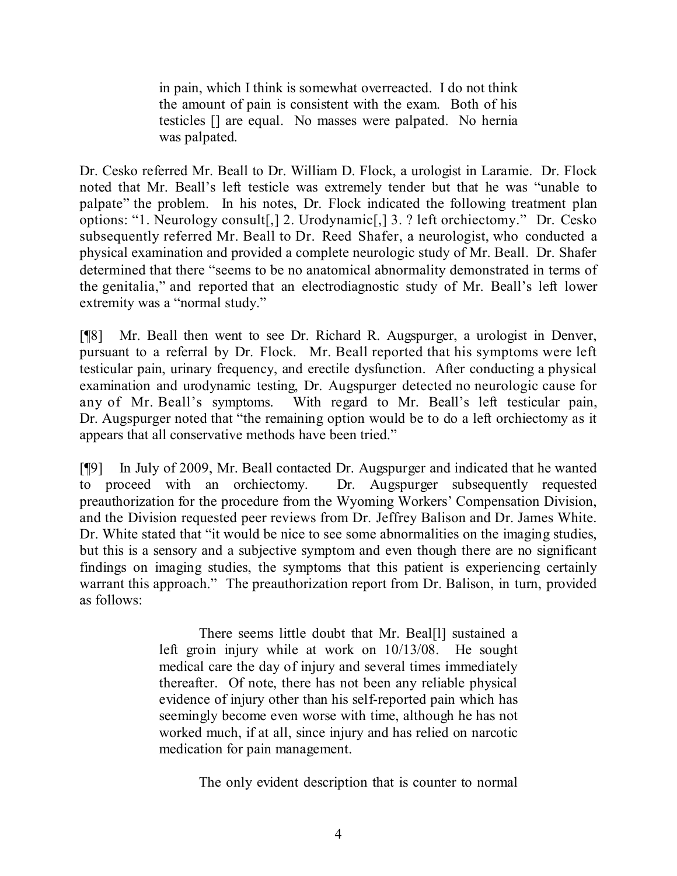in pain, which I think is somewhat overreacted. I do not think the amount of pain is consistent with the exam. Both of his testicles [] are equal. No masses were palpated. No hernia was palpated.

Dr. Cesko referred Mr. Beall to Dr. William D. Flock, a urologist in Laramie. Dr. Flock noted that Mr. Beall's left testicle was extremely tender but that he was "unable to palpate" the problem. In his notes, Dr. Flock indicated the following treatment plan options: "1. Neurology consult[,] 2. Urodynamic[,] 3. ? left orchiectomy." Dr. Cesko subsequently referred Mr. Beall to Dr. Reed Shafer, a neurologist, who conducted a physical examination and provided a complete neurologic study of Mr. Beall. Dr. Shafer determined that there "seems to be no anatomical abnormality demonstrated in terms of the genitalia," and reported that an electrodiagnostic study of Mr. Beall's left lower extremity was a "normal study."

[¶8] Mr. Beall then went to see Dr. Richard R. Augspurger, a urologist in Denver, pursuant to a referral by Dr. Flock. Mr. Beall reported that his symptoms were left testicular pain, urinary frequency, and erectile dysfunction. After conducting a physical examination and urodynamic testing, Dr. Augspurger detected no neurologic cause for any of Mr. Beall's symptoms. With regard to Mr. Beall's left testicular pain, Dr. Augspurger noted that "the remaining option would be to do a left orchiectomy as it appears that all conservative methods have been tried."

[¶9] In July of 2009, Mr. Beall contacted Dr. Augspurger and indicated that he wanted to proceed with an orchiectomy. Dr. Augspurger subsequently requested preauthorization for the procedure from the Wyoming Workers' Compensation Division, and the Division requested peer reviews from Dr. Jeffrey Balison and Dr. James White. Dr. White stated that "it would be nice to see some abnormalities on the imaging studies, but this is a sensory and a subjective symptom and even though there are no significant findings on imaging studies, the symptoms that this patient is experiencing certainly warrant this approach." The preauthorization report from Dr. Balison, in turn, provided as follows:

> There seems little doubt that Mr. Beal[1] sustained a left groin injury while at work on 10/13/08. He sought medical care the day of injury and several times immediately thereafter. Of note, there has not been any reliable physical evidence of injury other than his self-reported pain which has seemingly become even worse with time, although he has not worked much, if at all, since injury and has relied on narcotic medication for pain management.

> > The only evident description that is counter to normal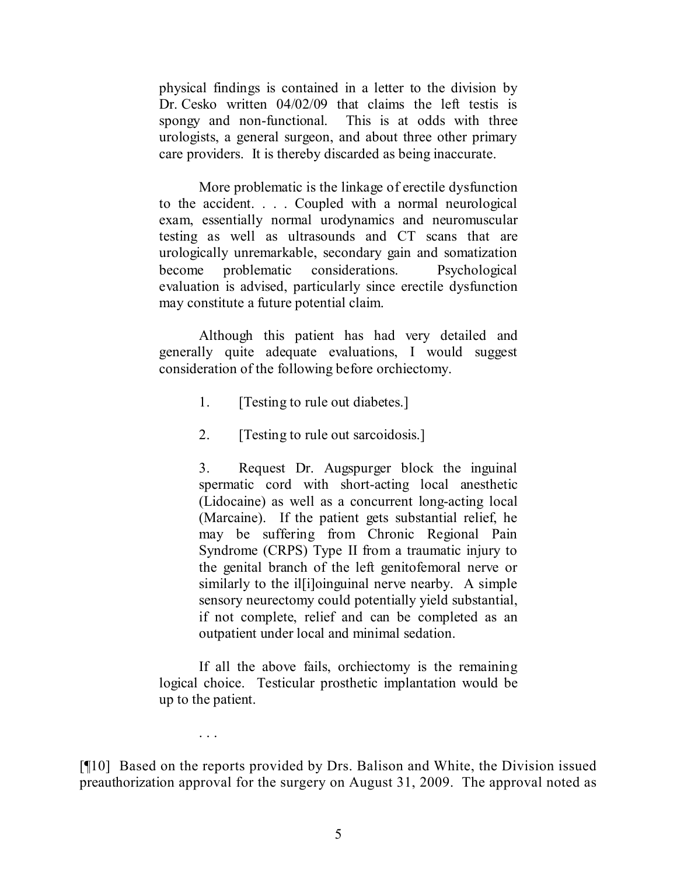physical findings is contained in a letter to the division by Dr. Cesko written 04/02/09 that claims the left testis is spongy and non-functional. This is at odds with three urologists, a general surgeon, and about three other primary care providers. It is thereby discarded as being inaccurate.

More problematic is the linkage of erectile dysfunction to the accident. . . . Coupled with a normal neurological exam, essentially normal urodynamics and neuromuscular testing as well as ultrasounds and CT scans that are urologically unremarkable, secondary gain and somatization become problematic considerations. Psychological evaluation is advised, particularly since erectile dysfunction may constitute a future potential claim.

Although this patient has had very detailed and generally quite adequate evaluations, I would suggest consideration of the following before orchiectomy.

- 1. [Testing to rule out diabetes.]
- 2. [Testing to rule out sarcoidosis.]

3. Request Dr. Augspurger block the inguinal spermatic cord with short-acting local anesthetic (Lidocaine) as well as a concurrent long-acting local (Marcaine). If the patient gets substantial relief, he may be suffering from Chronic Regional Pain Syndrome (CRPS) Type II from a traumatic injury to the genital branch of the left genitofemoral nerve or similarly to the illison in all nerve nearby. A simple sensory neurectomy could potentially yield substantial, if not complete, relief and can be completed as an outpatient under local and minimal sedation.

If all the above fails, orchiectomy is the remaining logical choice. Testicular prosthetic implantation would be up to the patient.

. . .

[¶10] Based on the reports provided by Drs. Balison and White, the Division issued preauthorization approval for the surgery on August 31, 2009. The approval noted as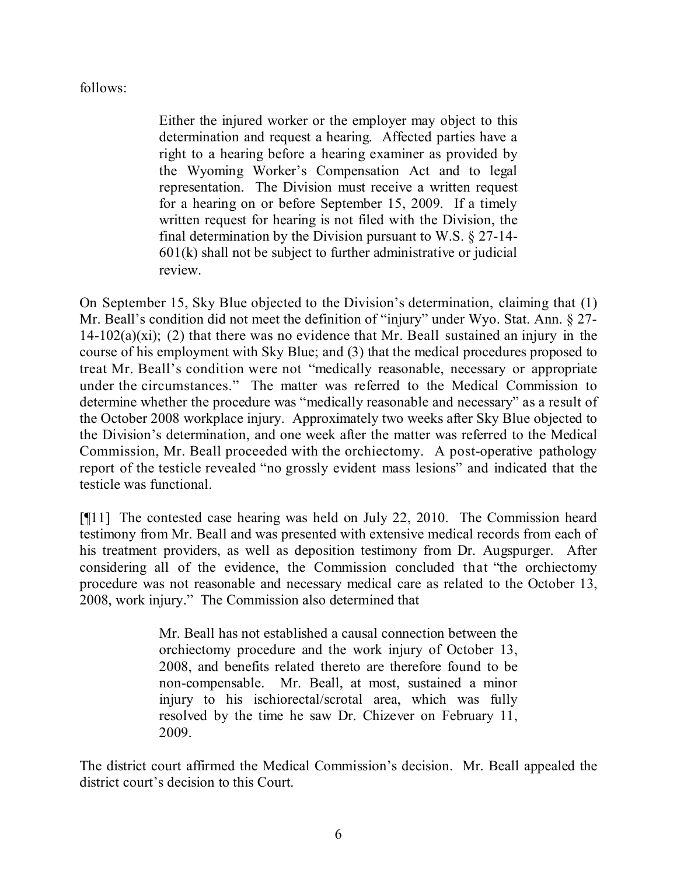# follows:

Either the injured worker or the employer may object to this determination and request a hearing. Affected parties have a right to a hearing before a hearing examiner as provided by the Wyoming Worker's Compensation Act and to legal representation. The Division must receive a written request for a hearing on or before September 15, 2009. If a timely written request for hearing is not filed with the Division, the final determination by the Division pursuant to W.S. § 27-14- 601(k) shall not be subject to further administrative or judicial review.

On September 15, Sky Blue objected to the Division's determination, claiming that (1) Mr. Beall's condition did not meet the definition of "injury" under Wyo. Stat. Ann. § 27-14-102(a)(xi); (2) that there was no evidence that Mr. Beall sustained an injury in the course of his employment with Sky Blue; and (3) that the medical procedures proposed to treat Mr. Beall's condition were not "medically reasonable, necessary or appropriate under the circumstances." The matter was referred to the Medical Commission to determine whether the procedure was "medically reasonable and necessary" as a result of the October 2008 workplace injury. Approximately two weeks after Sky Blue objected to the Division's determination, and one week after the matter was referred to the Medical Commission, Mr. Beall proceeded with the orchiectomy. A post-operative pathology report of the testicle revealed "no grossly evident mass lesions" and indicated that the testicle was functional.

[¶11] The contested case hearing was held on July 22, 2010. The Commission heard testimony from Mr. Beall and was presented with extensive medical records from each of his treatment providers, as well as deposition testimony from Dr. Augspurger. After considering all of the evidence, the Commission concluded that "the orchiectomy procedure was not reasonable and necessary medical care as related to the October 13, 2008, work injury." The Commission also determined that

> Mr. Beall has not established a causal connection between the orchiectomy procedure and the work injury of October 13, 2008, and benefits related thereto are therefore found to be non-compensable. Mr. Beall, at most, sustained a minor injury to his ischiorectal/scrotal area, which was fully resolved by the time he saw Dr. Chizever on February 11, 2009.

The district court affirmed the Medical Commission's decision. Mr. Beall appealed the district court's decision to this Court.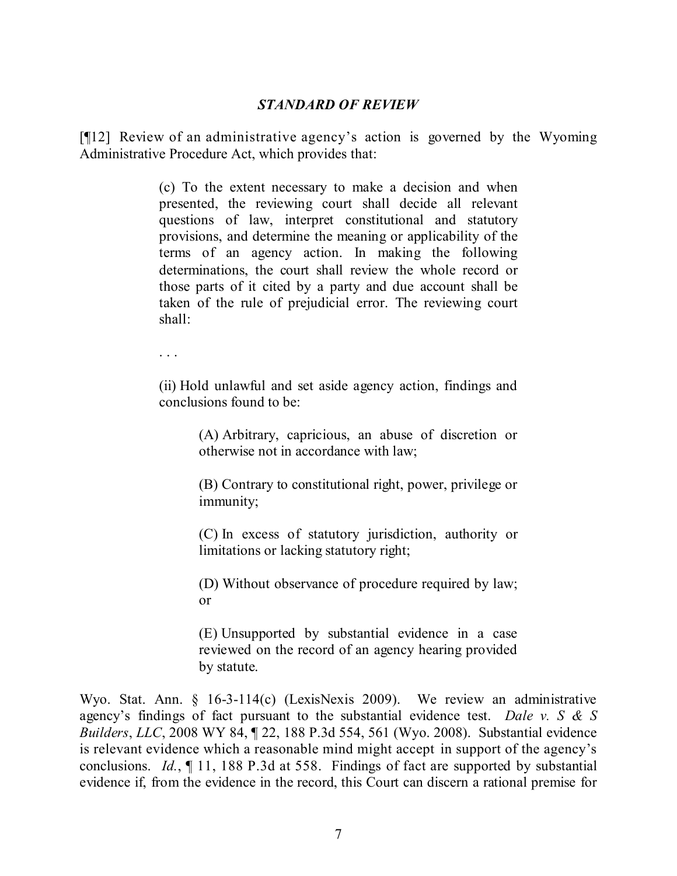#### *STANDARD OF REVIEW*

[¶12] Review of an administrative agency's action is governed by the Wyoming Administrative Procedure Act, which provides that:

> (c) To the extent necessary to make a decision and when presented, the reviewing court shall decide all relevant questions of law, interpret constitutional and statutory provisions, and determine the meaning or applicability of the terms of an agency action. In making the following determinations, the court shall review the whole record or those parts of it cited by a party and due account shall be taken of the rule of prejudicial error. The reviewing court shall:

. . .

(ii) Hold unlawful and set aside agency action, findings and conclusions found to be:

> (A) Arbitrary, capricious, an abuse of discretion or otherwise not in accordance with law;

> (B) Contrary to constitutional right, power, privilege or immunity;

> (C) In excess of statutory jurisdiction, authority or limitations or lacking statutory right;

> (D) Without observance of procedure required by law; or

> (E) Unsupported by substantial evidence in a case reviewed on the record of an agency hearing provided by statute.

Wyo. Stat. Ann. § 16-3-114(c) (LexisNexis 2009). We review an administrative agency's findings of fact pursuant to the substantial evidence test. *Dale v. S & S Builders*, *LLC*, 2008 WY 84, ¶ 22, 188 P.3d 554, 561 (Wyo. 2008). Substantial evidence is relevant evidence which a reasonable mind might accept in support of the agency's conclusions. *Id.*, ¶ 11, 188 P.3d at 558. Findings of fact are supported by substantial evidence if, from the evidence in the record, this Court can discern a rational premise for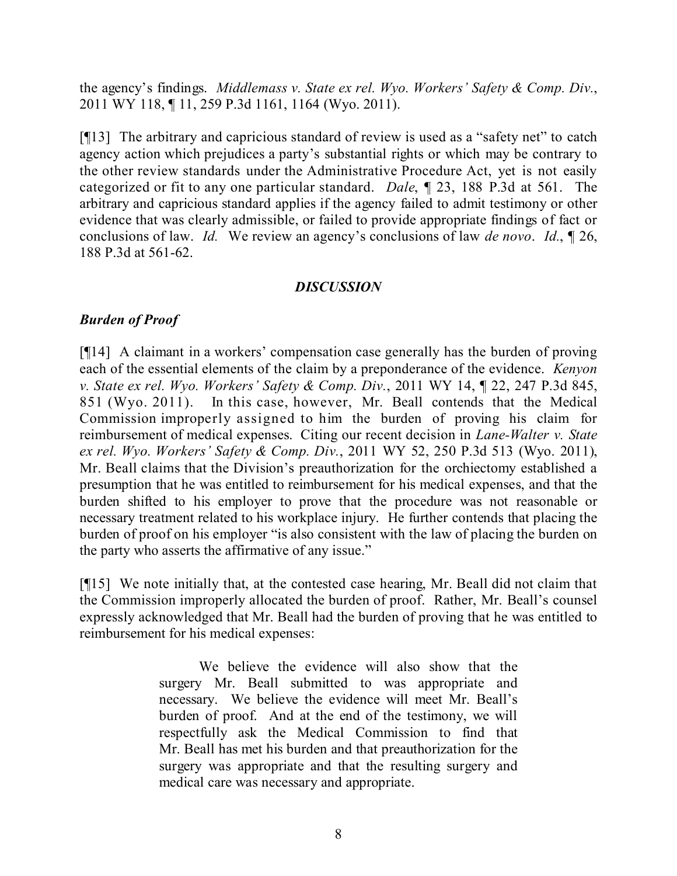the agency's findings. *Middlemass v. State ex rel. Wyo. Workers' Safety & Comp. Div.*, 2011 WY 118, ¶ 11, 259 P.3d 1161, 1164 (Wyo. 2011).

[¶13] The arbitrary and capricious standard of review is used as a "safety net" to catch agency action which prejudices a party's substantial rights or which may be contrary to the other review standards under the Administrative Procedure Act, yet is not easily categorized or fit to any one particular standard. *Dale*, ¶ 23, 188 P.3d at 561. The arbitrary and capricious standard applies if the agency failed to admit testimony or other evidence that was clearly admissible, or failed to provide appropriate findings of fact or conclusions of law. *Id.* We review an agency's conclusions of law *de novo*. *Id.*, ¶ 26, 188 P.3d at 561-62.

# *DISCUSSION*

# *Burden of Proof*

[¶14] A claimant in a workers' compensation case generally has the burden of proving each of the essential elements of the claim by a preponderance of the evidence. *Kenyon v. State ex rel. Wyo. Workers' Safety & Comp. Div.*, 2011 WY 14, ¶ 22, 247 P.3d 845, 851 (Wyo. 2011). In this case, however, Mr. Beall contends that the Medical Commission improperly assigned to him the burden of proving his claim for reimbursement of medical expenses. Citing our recent decision in *Lane-Walter v. State ex rel. Wyo. Workers' Safety & Comp. Div.*, 2011 WY 52, 250 P.3d 513 (Wyo. 2011), Mr. Beall claims that the Division's preauthorization for the orchiectomy established a presumption that he was entitled to reimbursement for his medical expenses, and that the burden shifted to his employer to prove that the procedure was not reasonable or necessary treatment related to his workplace injury. He further contends that placing the burden of proof on his employer "is also consistent with the law of placing the burden on the party who asserts the affirmative of any issue."

[¶15] We note initially that, at the contested case hearing, Mr. Beall did not claim that the Commission improperly allocated the burden of proof. Rather, Mr. Beall's counsel expressly acknowledged that Mr. Beall had the burden of proving that he was entitled to reimbursement for his medical expenses:

> We believe the evidence will also show that the surgery Mr. Beall submitted to was appropriate and necessary. We believe the evidence will meet Mr. Beall's burden of proof. And at the end of the testimony, we will respectfully ask the Medical Commission to find that Mr. Beall has met his burden and that preauthorization for the surgery was appropriate and that the resulting surgery and medical care was necessary and appropriate.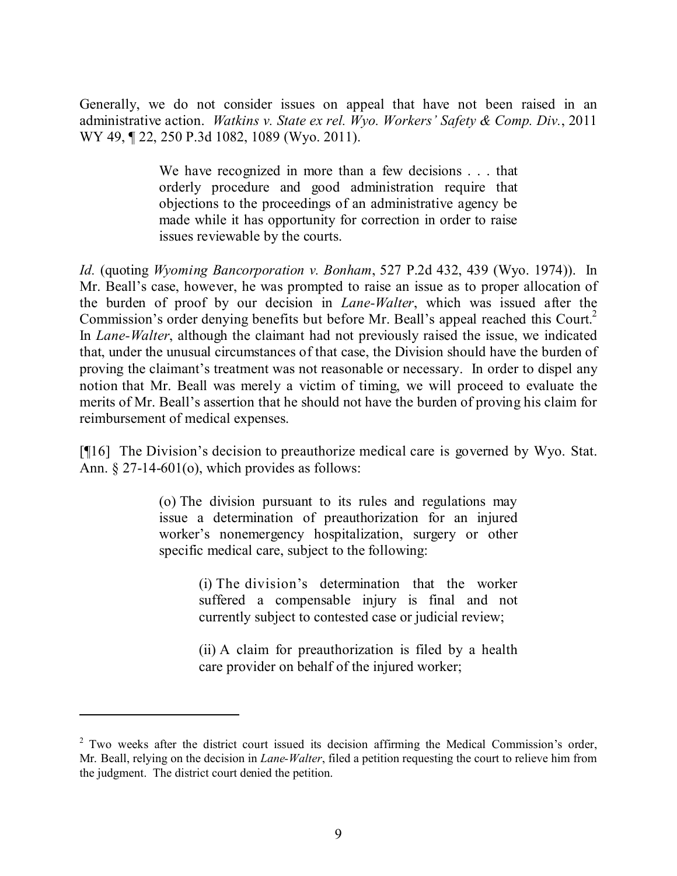Generally, we do not consider issues on appeal that have not been raised in an administrative action. *Watkins v. State ex rel. Wyo. Workers' Safety & Comp. Div.*, 2011 WY 49, 122, 250 P.3d 1082, 1089 (Wyo. 2011).

> We have recognized in more than a few decisions . . . that orderly procedure and good administration require that objections to the proceedings of an administrative agency be made while it has opportunity for correction in order to raise issues reviewable by the courts.

*Id.* (quoting *Wyoming Bancorporation v. Bonham*, 527 P.2d 432, 439 (Wyo. 1974)). In Mr. Beall's case, however, he was prompted to raise an issue as to proper allocation of the burden of proof by our decision in *Lane-Walter*, which was issued after the Commission's order denying benefits but before Mr. Beall's appeal reached this Court.<sup>2</sup> In *Lane-Walter*, although the claimant had not previously raised the issue, we indicated that, under the unusual circumstances of that case, the Division should have the burden of proving the claimant's treatment was not reasonable or necessary. In order to dispel any notion that Mr. Beall was merely a victim of timing, we will proceed to evaluate the merits of Mr. Beall's assertion that he should not have the burden of proving his claim for reimbursement of medical expenses.

[¶16] The Division's decision to preauthorize medical care is governed by Wyo. Stat. Ann. § 27-14-601(o), which provides as follows:

> (o) The division pursuant to its rules and regulations may issue a determination of preauthorization for an injured worker's nonemergency hospitalization, surgery or other specific medical care, subject to the following:

> > (i) The division's determination that the worker suffered a compensable injury is final and not currently subject to contested case or judicial review;

> > (ii) A claim for preauthorization is filed by a health care provider on behalf of the injured worker;

 $2$  Two weeks after the district court issued its decision affirming the Medical Commission's order. Mr. Beall, relying on the decision in *Lane-Walter*, filed a petition requesting the court to relieve him from the judgment. The district court denied the petition.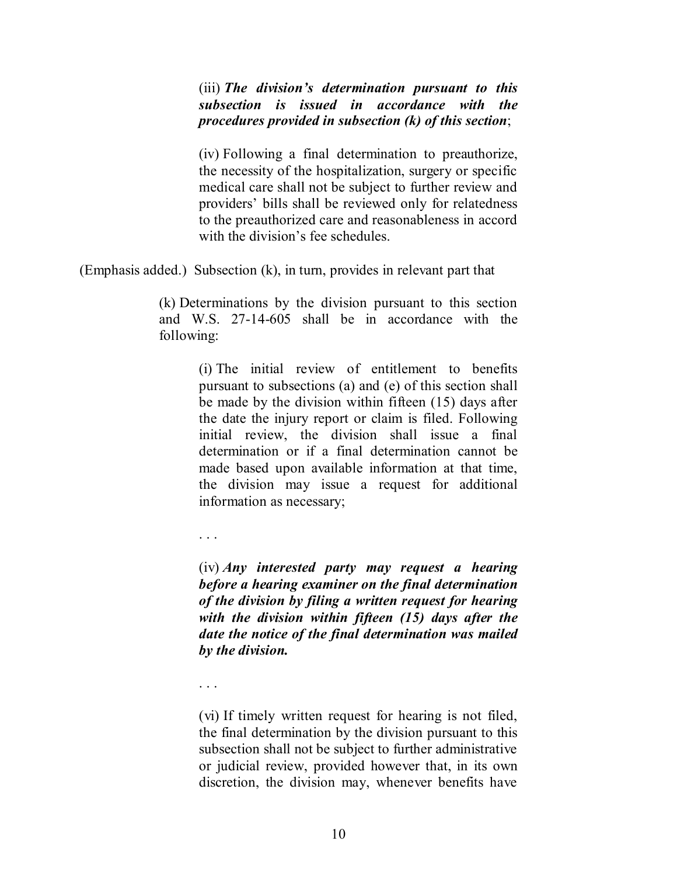(iii) *The division's determination pursuant to this subsection is issued in accordance with the procedures provided in subsection (k) of this section*;

(iv) Following a final determination to preauthorize, the necessity of the hospitalization, surgery or specific medical care shall not be subject to further review and providers' bills shall be reviewed only for relatedness to the preauthorized care and reasonableness in accord with the division's fee schedules.

(Emphasis added.) Subsection (k), in turn, provides in relevant part that

(k) Determinations by the division pursuant to this section and W.S. 27-14-605 shall be in accordance with the following:

> (i) The initial review of entitlement to benefits pursuant to subsections (a) and (e) of this section shall be made by the division within fifteen (15) days after the date the injury report or claim is filed. Following initial review, the division shall issue a final determination or if a final determination cannot be made based upon available information at that time, the division may issue a request for additional information as necessary;

. . .

(iv) *Any interested party may request a hearing before a hearing examiner on the final determination of the division by filing a written request for hearing with the division within fifteen (15) days after the date the notice of the final determination was mailed by the division.*

. . .

(vi) If timely written request for hearing is not filed, the final determination by the division pursuant to this subsection shall not be subject to further administrative or judicial review, provided however that, in its own discretion, the division may, whenever benefits have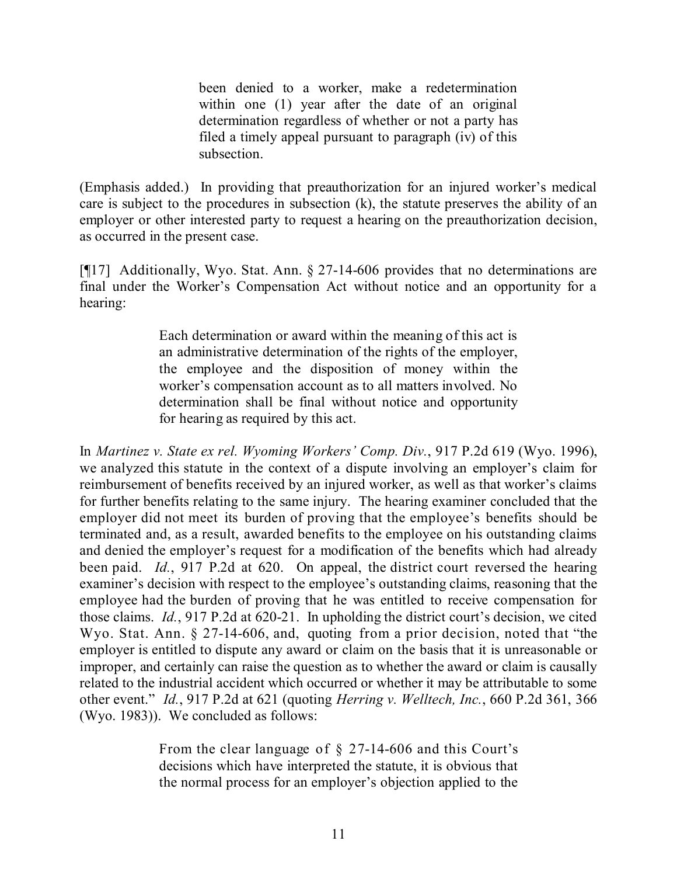been denied to a worker, make a redetermination within one (1) year after the date of an original determination regardless of whether or not a party has filed a timely appeal pursuant to paragraph (iv) of this subsection.

(Emphasis added.) In providing that preauthorization for an injured worker's medical care is subject to the procedures in subsection (k), the statute preserves the ability of an employer or other interested party to request a hearing on the preauthorization decision, as occurred in the present case.

[¶17] Additionally, Wyo. Stat. Ann. § 27-14-606 provides that no determinations are final under the Worker's Compensation Act without notice and an opportunity for a hearing:

> Each determination or award within the meaning of this act is an administrative determination of the rights of the employer, the employee and the disposition of money within the worker's compensation account as to all matters involved. No determination shall be final without notice and opportunity for hearing as required by this act.

In *Martinez v. State ex rel. Wyoming Workers' Comp. Div.*, 917 P.2d 619 (Wyo. 1996), we analyzed this statute in the context of a dispute involving an employer's claim for reimbursement of benefits received by an injured worker, as well as that worker's claims for further benefits relating to the same injury. The hearing examiner concluded that the employer did not meet its burden of proving that the employee's benefits should be terminated and, as a result, awarded benefits to the employee on his outstanding claims and denied the employer's request for a modification of the benefits which had already been paid. *Id.*, 917 P.2d at 620. On appeal, the district court reversed the hearing examiner's decision with respect to the employee's outstanding claims, reasoning that the employee had the burden of proving that he was entitled to receive compensation for those claims. *Id.*, 917 P.2d at 620-21. In upholding the district court's decision, we cited Wyo. Stat. Ann. § 27-14-606, and, quoting from a prior decision, noted that "the employer is entitled to dispute any award or claim on the basis that it is unreasonable or improper, and certainly can raise the question as to whether the award or claim is causally related to the industrial accident which occurred or whether it may be attributable to some other event." *Id.*, 917 P.2d at 621 (quoting *Herring v. Welltech, Inc.*, 660 P.2d 361, 366 (Wyo. 1983)). We concluded as follows:

> From the clear language of § 27-14-606 and this Court's decisions which have interpreted the statute, it is obvious that the normal process for an employer's objection applied to the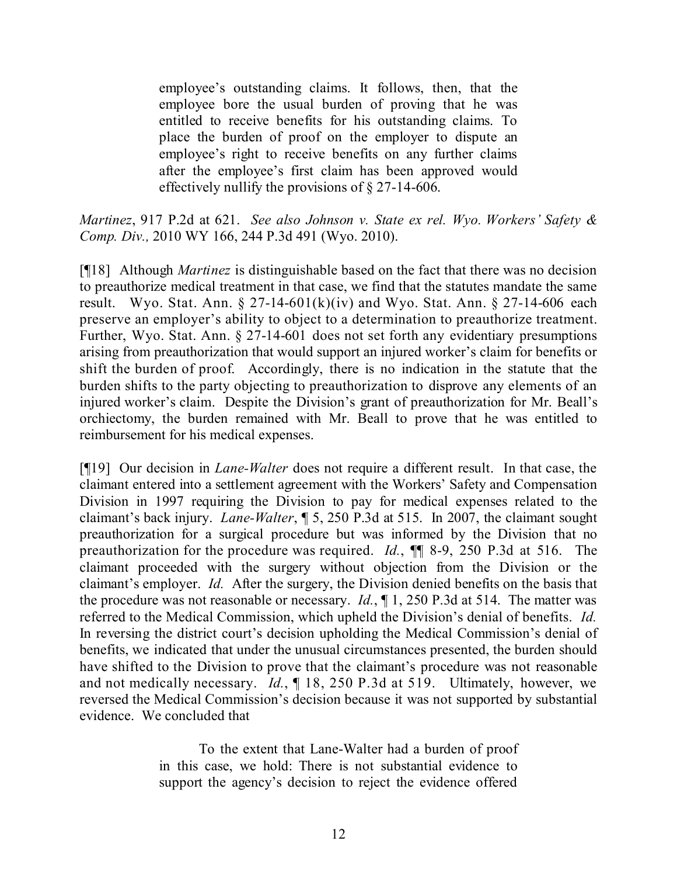employee's outstanding claims. It follows, then, that the employee bore the usual burden of proving that he was entitled to receive benefits for his outstanding claims. To place the burden of proof on the employer to dispute an employee's right to receive benefits on any further claims after the employee's first claim has been approved would effectively nullify the provisions of § 27-14-606.

*Martinez*, 917 P.2d at 621. *See also Johnson v. State ex rel. Wyo. Workers' Safety & Comp. Div.,* 2010 WY 166, 244 P.3d 491 (Wyo. 2010).

[¶18] Although *Martinez* is distinguishable based on the fact that there was no decision to preauthorize medical treatment in that case, we find that the statutes mandate the same result. Wyo. Stat. Ann.  $\S 27$ -14-601(k)(iv) and Wyo. Stat. Ann.  $\S 27$ -14-606 each preserve an employer's ability to object to a determination to preauthorize treatment. Further, Wyo. Stat. Ann. § 27-14-601 does not set forth any evidentiary presumptions arising from preauthorization that would support an injured worker's claim for benefits or shift the burden of proof. Accordingly, there is no indication in the statute that the burden shifts to the party objecting to preauthorization to disprove any elements of an injured worker's claim. Despite the Division's grant of preauthorization for Mr. Beall's orchiectomy, the burden remained with Mr. Beall to prove that he was entitled to reimbursement for his medical expenses.

[¶19] Our decision in *Lane-Walter* does not require a different result. In that case, the claimant entered into a settlement agreement with the Workers' Safety and Compensation Division in 1997 requiring the Division to pay for medical expenses related to the claimant's back injury. *Lane-Walter*, ¶ 5, 250 P.3d at 515. In 2007, the claimant sought preauthorization for a surgical procedure but was informed by the Division that no preauthorization for the procedure was required. *Id.*, ¶¶ 8-9, 250 P.3d at 516. The claimant proceeded with the surgery without objection from the Division or the claimant's employer. *Id.* After the surgery, the Division denied benefits on the basis that the procedure was not reasonable or necessary. *Id.*, ¶ 1, 250 P.3d at 514. The matter was referred to the Medical Commission, which upheld the Division's denial of benefits. *Id.* In reversing the district court's decision upholding the Medical Commission's denial of benefits, we indicated that under the unusual circumstances presented, the burden should have shifted to the Division to prove that the claimant's procedure was not reasonable and not medically necessary. *Id.*, ¶ 18, 250 P.3d at 519. Ultimately, however, we reversed the Medical Commission's decision because it was not supported by substantial evidence. We concluded that

> To the extent that Lane-Walter had a burden of proof in this case, we hold: There is not substantial evidence to support the agency's decision to reject the evidence offered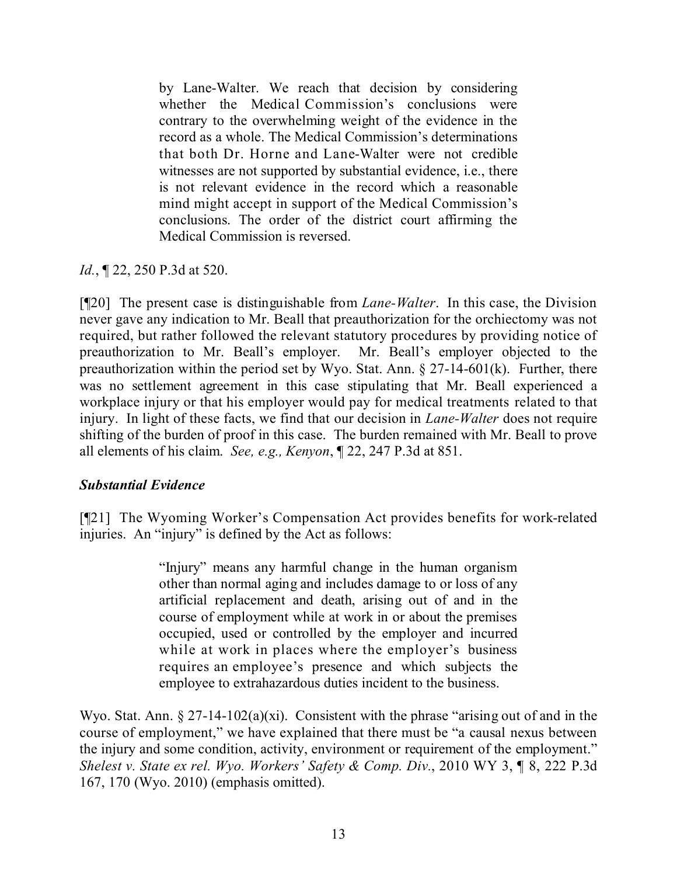by Lane-Walter. We reach that decision by considering whether the Medical Commission's conclusions were contrary to the overwhelming weight of the evidence in the record as a whole. The Medical Commission's determinations that both Dr. Horne and Lane-Walter were not credible witnesses are not supported by substantial evidence, i.e., there is not relevant evidence in the record which a reasonable mind might accept in support of the Medical Commission's conclusions. The order of the district court affirming the Medical Commission is reversed.

*Id.*, **[22, 250 P.3d at 520.** 

[¶20] The present case is distinguishable from *Lane-Walter*. In this case, the Division never gave any indication to Mr. Beall that preauthorization for the orchiectomy was not required, but rather followed the relevant statutory procedures by providing notice of preauthorization to Mr. Beall's employer. Mr. Beall's employer objected to the preauthorization within the period set by Wyo. Stat. Ann. § 27-14-601(k). Further, there was no settlement agreement in this case stipulating that Mr. Beall experienced a workplace injury or that his employer would pay for medical treatments related to that injury. In light of these facts, we find that our decision in *Lane-Walter* does not require shifting of the burden of proof in this case. The burden remained with Mr. Beall to prove all elements of his claim. *See, e.g., Kenyon*, ¶ 22, 247 P.3d at 851.

# *Substantial Evidence*

[¶21] The Wyoming Worker's Compensation Act provides benefits for work-related injuries. An "injury" is defined by the Act as follows:

> "Injury" means any harmful change in the human organism other than normal aging and includes damage to or loss of any artificial replacement and death, arising out of and in the course of employment while at work in or about the premises occupied, used or controlled by the employer and incurred while at work in places where the employer's business requires an employee's presence and which subjects the employee to extrahazardous duties incident to the business.

Wyo. Stat. Ann. § 27-14-102(a)(xi). Consistent with the phrase "arising out of and in the course of employment," we have explained that there must be "a causal nexus between the injury and some condition, activity, environment or requirement of the employment." *Shelest v. State ex rel. Wyo. Workers' Safety & Comp. Div.*, 2010 WY 3, ¶ 8, 222 P.3d 167, 170 (Wyo. 2010) (emphasis omitted).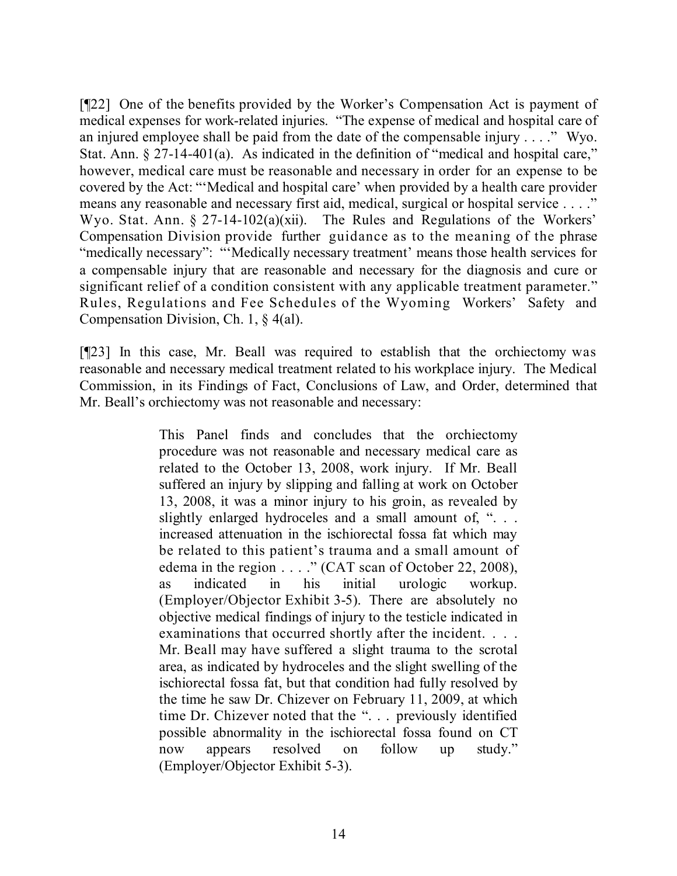[¶22] One of the benefits provided by the Worker's Compensation Act is payment of medical expenses for work-related injuries. "The expense of medical and hospital care of an injured employee shall be paid from the date of the compensable injury . . . ." Wyo. Stat. Ann. § 27-14-401(a). As indicated in the definition of "medical and hospital care," however, medical care must be reasonable and necessary in order for an expense to be covered by the Act: "'Medical and hospital care' when provided by a health care provider means any reasonable and necessary first aid, medical, surgical or hospital service . . . ." Wyo. Stat. Ann. § 27-14-102(a)(xii). The Rules and Regulations of the Workers' Compensation Division provide further guidance as to the meaning of the phrase "medically necessary": "'Medically necessary treatment' means those health services for a compensable injury that are reasonable and necessary for the diagnosis and cure or significant relief of a condition consistent with any applicable treatment parameter." Rules, Regulations and Fee Schedules of the Wyoming Workers' Safety and Compensation Division, Ch. 1, § 4(al).

[¶23] In this case, Mr. Beall was required to establish that the orchiectomy was reasonable and necessary medical treatment related to his workplace injury. The Medical Commission, in its Findings of Fact, Conclusions of Law, and Order, determined that Mr. Beall's orchiectomy was not reasonable and necessary:

> This Panel finds and concludes that the orchiectomy procedure was not reasonable and necessary medical care as related to the October 13, 2008, work injury. If Mr. Beall suffered an injury by slipping and falling at work on October 13, 2008, it was a minor injury to his groin, as revealed by slightly enlarged hydroceles and a small amount of, "... increased attenuation in the ischiorectal fossa fat which may be related to this patient's trauma and a small amount of edema in the region . . . . " (CAT scan of October 22, 2008), as indicated in his initial urologic workup. (Employer/Objector Exhibit 3-5). There are absolutely no objective medical findings of injury to the testicle indicated in examinations that occurred shortly after the incident. . . . Mr. Beall may have suffered a slight trauma to the scrotal area, as indicated by hydroceles and the slight swelling of the ischiorectal fossa fat, but that condition had fully resolved by the time he saw Dr. Chizever on February 11, 2009, at which time Dr. Chizever noted that the ". . . previously identified possible abnormality in the ischiorectal fossa found on CT now appears resolved on follow up study." (Employer/Objector Exhibit 5-3).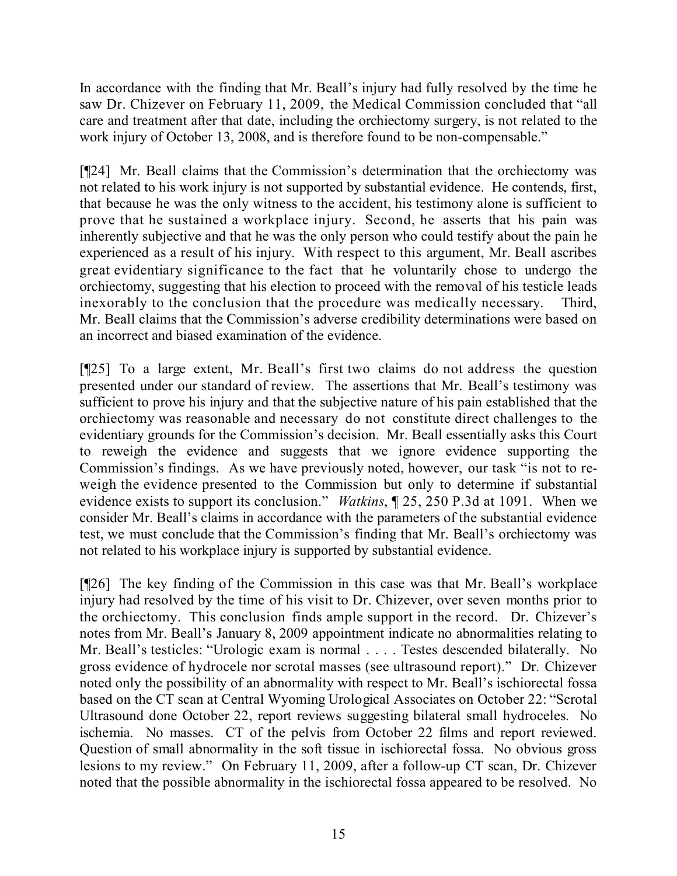In accordance with the finding that Mr. Beall's injury had fully resolved by the time he saw Dr. Chizever on February 11, 2009, the Medical Commission concluded that "all care and treatment after that date, including the orchiectomy surgery, is not related to the work injury of October 13, 2008, and is therefore found to be non-compensable."

[¶24] Mr. Beall claims that the Commission's determination that the orchiectomy was not related to his work injury is not supported by substantial evidence. He contends, first, that because he was the only witness to the accident, his testimony alone is sufficient to prove that he sustained a workplace injury. Second, he asserts that his pain was inherently subjective and that he was the only person who could testify about the pain he experienced as a result of his injury. With respect to this argument, Mr. Beall ascribes great evidentiary significance to the fact that he voluntarily chose to undergo the orchiectomy, suggesting that his election to proceed with the removal of his testicle leads inexorably to the conclusion that the procedure was medically necessary. Third, Mr. Beall claims that the Commission's adverse credibility determinations were based on an incorrect and biased examination of the evidence.

[¶25] To a large extent, Mr. Beall's first two claims do not address the question presented under our standard of review. The assertions that Mr. Beall's testimony was sufficient to prove his injury and that the subjective nature of his pain established that the orchiectomy was reasonable and necessary do not constitute direct challenges to the evidentiary grounds for the Commission's decision. Mr. Beall essentially asks this Court to reweigh the evidence and suggests that we ignore evidence supporting the Commission's findings. As we have previously noted, however, our task "is not to reweigh the evidence presented to the Commission but only to determine if substantial evidence exists to support its conclusion." *Watkins*, ¶ 25, 250 P.3d at 1091. When we consider Mr. Beall's claims in accordance with the parameters of the substantial evidence test, we must conclude that the Commission's finding that Mr. Beall's orchiectomy was not related to his workplace injury is supported by substantial evidence.

[¶26] The key finding of the Commission in this case was that Mr. Beall's workplace injury had resolved by the time of his visit to Dr. Chizever, over seven months prior to the orchiectomy. This conclusion finds ample support in the record. Dr. Chizever's notes from Mr. Beall's January 8, 2009 appointment indicate no abnormalities relating to Mr. Beall's testicles: "Urologic exam is normal . . . . Testes descended bilaterally. No gross evidence of hydrocele nor scrotal masses (see ultrasound report)." Dr. Chizever noted only the possibility of an abnormality with respect to Mr. Beall's ischiorectal fossa based on the CT scan at Central Wyoming Urological Associates on October 22: "Scrotal Ultrasound done October 22, report reviews suggesting bilateral small hydroceles. No ischemia. No masses. CT of the pelvis from October 22 films and report reviewed. Question of small abnormality in the soft tissue in ischiorectal fossa. No obvious gross lesions to my review." On February 11, 2009, after a follow-up CT scan, Dr. Chizever noted that the possible abnormality in the ischiorectal fossa appeared to be resolved. No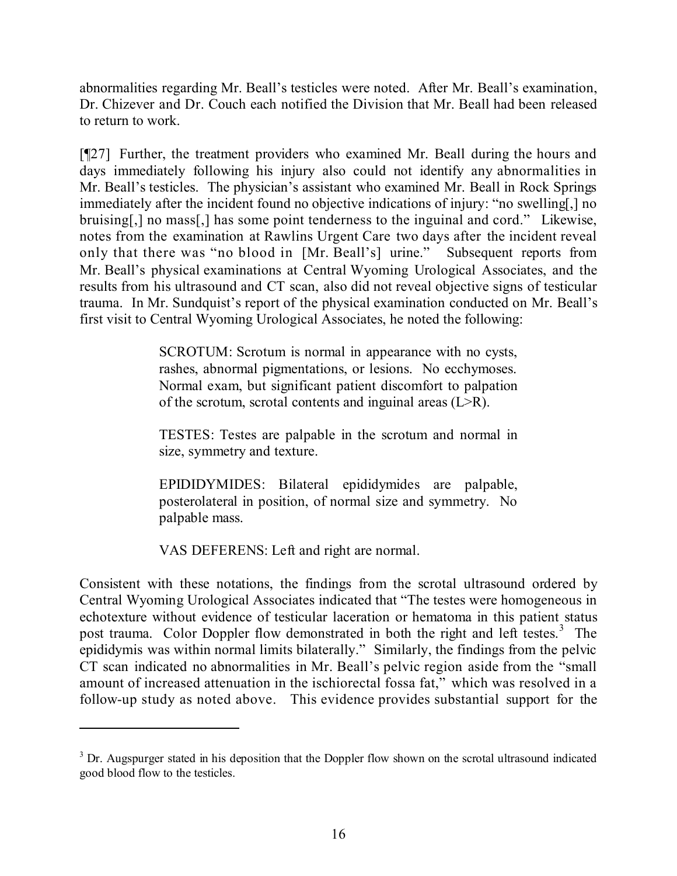abnormalities regarding Mr. Beall's testicles were noted. After Mr. Beall's examination, Dr. Chizever and Dr. Couch each notified the Division that Mr. Beall had been released to return to work.

[¶27] Further, the treatment providers who examined Mr. Beall during the hours and days immediately following his injury also could not identify any abnormalities in Mr. Beall's testicles. The physician's assistant who examined Mr. Beall in Rock Springs immediately after the incident found no objective indications of injury: "no swelling[,] no bruising[,] no mass[,] has some point tenderness to the inguinal and cord." Likewise, notes from the examination at Rawlins Urgent Care two days after the incident reveal only that there was "no blood in [Mr. Beall's] urine." Subsequent reports from Mr. Beall's physical examinations at Central Wyoming Urological Associates, and the results from his ultrasound and CT scan, also did not reveal objective signs of testicular trauma. In Mr. Sundquist's report of the physical examination conducted on Mr. Beall's first visit to Central Wyoming Urological Associates, he noted the following:

> SCROTUM: Scrotum is normal in appearance with no cysts, rashes, abnormal pigmentations, or lesions. No ecchymoses. Normal exam, but significant patient discomfort to palpation of the scrotum, scrotal contents and inguinal areas (L>R).

> TESTES: Testes are palpable in the scrotum and normal in size, symmetry and texture.

> EPIDIDYMIDES: Bilateral epididymides are palpable, posterolateral in position, of normal size and symmetry. No palpable mass.

VAS DEFERENS: Left and right are normal.

Consistent with these notations, the findings from the scrotal ultrasound ordered by Central Wyoming Urological Associates indicated that "The testes were homogeneous in echotexture without evidence of testicular laceration or hematoma in this patient status post trauma. Color Doppler flow demonstrated in both the right and left testes.<sup>3</sup> The epididymis was within normal limits bilaterally." Similarly, the findings from the pelvic CT scan indicated no abnormalities in Mr. Beall's pelvic region aside from the "small amount of increased attenuation in the ischiorectal fossa fat," which was resolved in a follow-up study as noted above. This evidence provides substantial support for the

<sup>&</sup>lt;sup>3</sup> Dr. Augspurger stated in his deposition that the Doppler flow shown on the scrotal ultrasound indicated good blood flow to the testicles.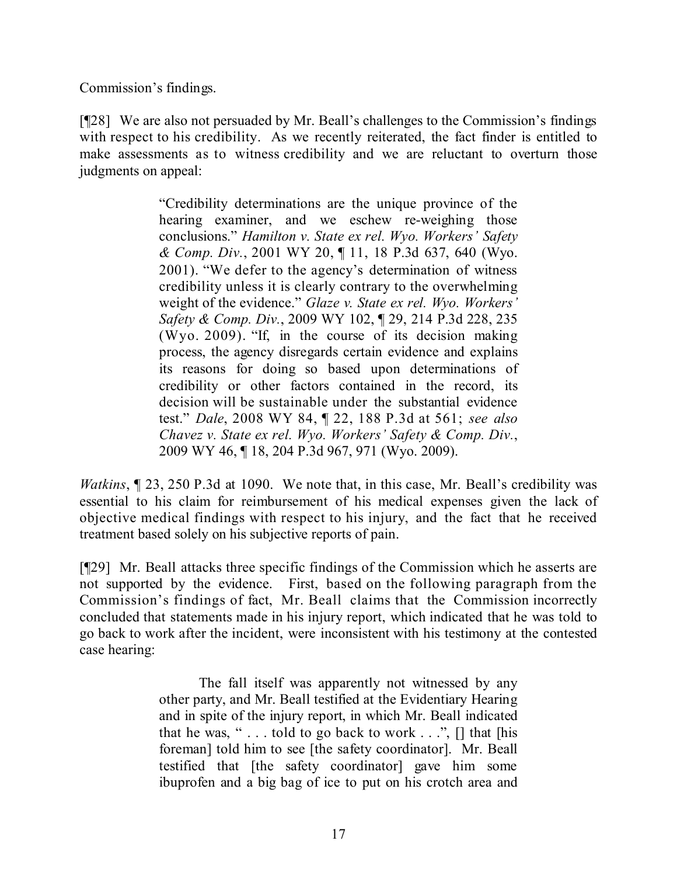Commission's findings.

[¶28] We are also not persuaded by Mr. Beall's challenges to the Commission's findings with respect to his credibility. As we recently reiterated, the fact finder is entitled to make assessments as to witness credibility and we are reluctant to overturn those judgments on appeal:

> "Credibility determinations are the unique province of the hearing examiner, and we eschew re-weighing those conclusions." *Hamilton v. State ex rel. Wyo. Workers' Safety & Comp. Div.*, 2001 WY 20, ¶ 11, 18 P.3d 637, 640 (Wyo. 2001). "We defer to the agency's determination of witness credibility unless it is clearly contrary to the overwhelming weight of the evidence." *Glaze v. State ex rel. Wyo. Workers' Safety & Comp. Div.*, 2009 WY 102, ¶ 29, 214 P.3d 228, 235 (Wyo. 2009). "If, in the course of its decision making process, the agency disregards certain evidence and explains its reasons for doing so based upon determinations of credibility or other factors contained in the record, its decision will be sustainable under the substantial evidence test." *Dale*, 2008 WY 84, ¶ 22, 188 P.3d at 561; *see also Chavez v. State ex rel. Wyo. Workers' Safety & Comp. Div.*, 2009 WY 46, ¶ 18, 204 P.3d 967, 971 (Wyo. 2009).

*Watkins*,  $\parallel$  23, 250 P.3d at 1090. We note that, in this case, Mr. Beall's credibility was essential to his claim for reimbursement of his medical expenses given the lack of objective medical findings with respect to his injury, and the fact that he received treatment based solely on his subjective reports of pain.

[¶29] Mr. Beall attacks three specific findings of the Commission which he asserts are not supported by the evidence. First, based on the following paragraph from the Commission's findings of fact, Mr. Beall claims that the Commission incorrectly concluded that statements made in his injury report, which indicated that he was told to go back to work after the incident, were inconsistent with his testimony at the contested case hearing:

> The fall itself was apparently not witnessed by any other party, and Mr. Beall testified at the Evidentiary Hearing and in spite of the injury report, in which Mr. Beall indicated that he was, " $\ldots$  told to go back to work  $\ldots$ ",  $\lceil \cdot \rceil$  that  $\lceil \cdot \rceil$  this foreman] told him to see [the safety coordinator]. Mr. Beall testified that [the safety coordinator] gave him some ibuprofen and a big bag of ice to put on his crotch area and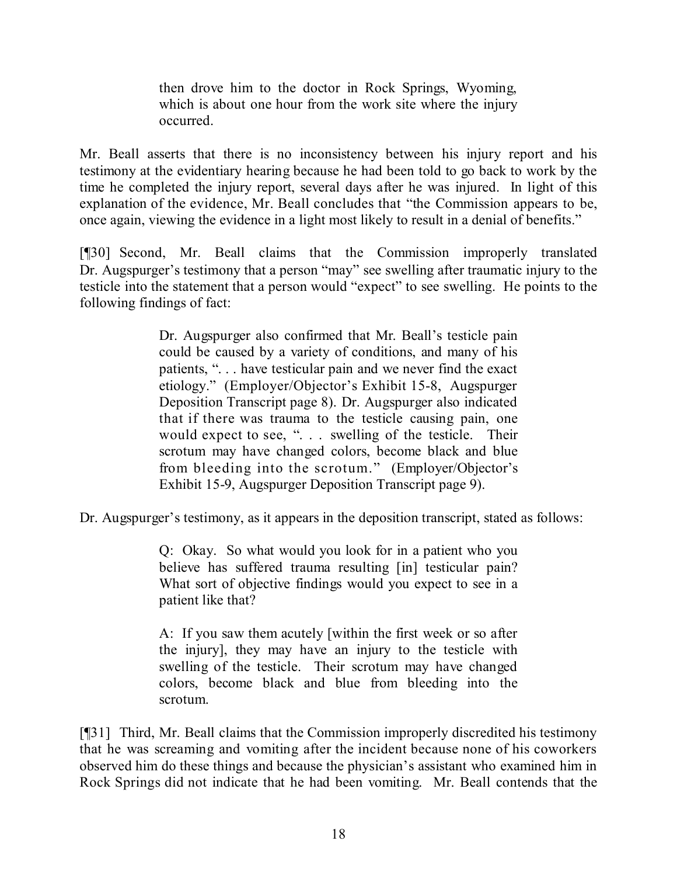then drove him to the doctor in Rock Springs, Wyoming, which is about one hour from the work site where the injury occurred.

Mr. Beall asserts that there is no inconsistency between his injury report and his testimony at the evidentiary hearing because he had been told to go back to work by the time he completed the injury report, several days after he was injured. In light of this explanation of the evidence, Mr. Beall concludes that "the Commission appears to be, once again, viewing the evidence in a light most likely to result in a denial of benefits."

[¶30] Second, Mr. Beall claims that the Commission improperly translated Dr. Augspurger's testimony that a person "may" see swelling after traumatic injury to the testicle into the statement that a person would "expect" to see swelling. He points to the following findings of fact:

> Dr. Augspurger also confirmed that Mr. Beall's testicle pain could be caused by a variety of conditions, and many of his patients, ". . . have testicular pain and we never find the exact etiology." (Employer/Objector's Exhibit 15-8, Augspurger Deposition Transcript page 8). Dr. Augspurger also indicated that if there was trauma to the testicle causing pain, one would expect to see, ". . . swelling of the testicle. Their scrotum may have changed colors, become black and blue from bleeding into the scrotum." (Employer/Objector's Exhibit 15-9, Augspurger Deposition Transcript page 9).

Dr. Augspurger's testimony, as it appears in the deposition transcript, stated as follows:

Q: Okay. So what would you look for in a patient who you believe has suffered trauma resulting [in] testicular pain? What sort of objective findings would you expect to see in a patient like that?

A: If you saw them acutely [within the first week or so after the injury], they may have an injury to the testicle with swelling of the testicle. Their scrotum may have changed colors, become black and blue from bleeding into the scrotum.

[¶31] Third, Mr. Beall claims that the Commission improperly discredited his testimony that he was screaming and vomiting after the incident because none of his coworkers observed him do these things and because the physician's assistant who examined him in Rock Springs did not indicate that he had been vomiting. Mr. Beall contends that the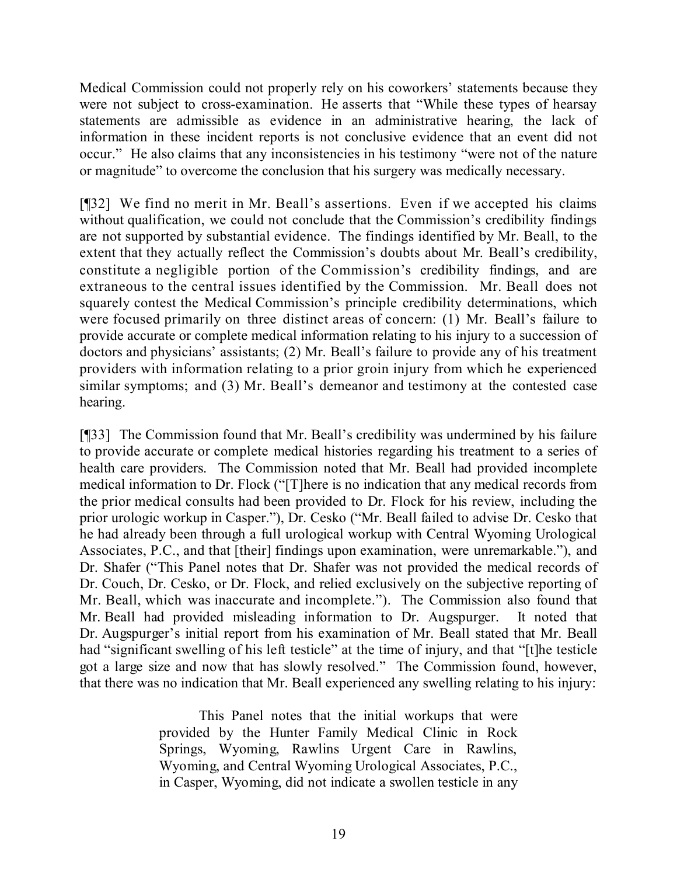Medical Commission could not properly rely on his coworkers' statements because they were not subject to cross-examination. He asserts that "While these types of hearsay statements are admissible as evidence in an administrative hearing, the lack of information in these incident reports is not conclusive evidence that an event did not occur." He also claims that any inconsistencies in his testimony "were not of the nature or magnitude" to overcome the conclusion that his surgery was medically necessary.

[¶32] We find no merit in Mr. Beall's assertions. Even if we accepted his claims without qualification, we could not conclude that the Commission's credibility findings are not supported by substantial evidence. The findings identified by Mr. Beall, to the extent that they actually reflect the Commission's doubts about Mr. Beall's credibility, constitute a negligible portion of the Commission's credibility findings, and are extraneous to the central issues identified by the Commission. Mr. Beall does not squarely contest the Medical Commission's principle credibility determinations, which were focused primarily on three distinct areas of concern: (1) Mr. Beall's failure to provide accurate or complete medical information relating to his injury to a succession of doctors and physicians' assistants; (2) Mr. Beall's failure to provide any of his treatment providers with information relating to a prior groin injury from which he experienced similar symptoms; and (3) Mr. Beall's demeanor and testimony at the contested case hearing.

[¶33] The Commission found that Mr. Beall's credibility was undermined by his failure to provide accurate or complete medical histories regarding his treatment to a series of health care providers. The Commission noted that Mr. Beall had provided incomplete medical information to Dr. Flock ("[T]here is no indication that any medical records from the prior medical consults had been provided to Dr. Flock for his review, including the prior urologic workup in Casper."), Dr. Cesko ("Mr. Beall failed to advise Dr. Cesko that he had already been through a full urological workup with Central Wyoming Urological Associates, P.C., and that [their] findings upon examination, were unremarkable."), and Dr. Shafer ("This Panel notes that Dr. Shafer was not provided the medical records of Dr. Couch, Dr. Cesko, or Dr. Flock, and relied exclusively on the subjective reporting of Mr. Beall, which was inaccurate and incomplete."). The Commission also found that Mr. Beall had provided misleading information to Dr. Augspurger. It noted that Dr. Augspurger's initial report from his examination of Mr. Beall stated that Mr. Beall had "significant swelling of his left testicle" at the time of injury, and that "[t]he testicle got a large size and now that has slowly resolved." The Commission found, however, that there was no indication that Mr. Beall experienced any swelling relating to his injury:

> This Panel notes that the initial workups that were provided by the Hunter Family Medical Clinic in Rock Springs, Wyoming, Rawlins Urgent Care in Rawlins, Wyoming, and Central Wyoming Urological Associates, P.C., in Casper, Wyoming, did not indicate a swollen testicle in any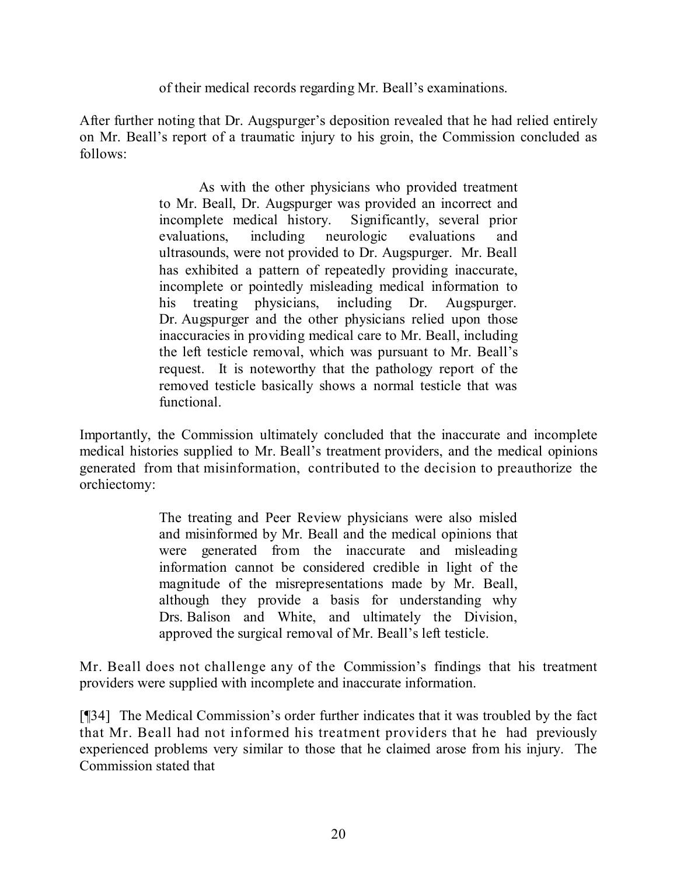of their medical records regarding Mr. Beall's examinations.

After further noting that Dr. Augspurger's deposition revealed that he had relied entirely on Mr. Beall's report of a traumatic injury to his groin, the Commission concluded as follows:

> As with the other physicians who provided treatment to Mr. Beall, Dr. Augspurger was provided an incorrect and incomplete medical history. Significantly, several prior evaluations, including neurologic evaluations and ultrasounds, were not provided to Dr. Augspurger. Mr. Beall has exhibited a pattern of repeatedly providing inaccurate, incomplete or pointedly misleading medical information to his treating physicians, including Dr. Augspurger. Dr. Augspurger and the other physicians relied upon those inaccuracies in providing medical care to Mr. Beall, including the left testicle removal, which was pursuant to Mr. Beall's request. It is noteworthy that the pathology report of the removed testicle basically shows a normal testicle that was functional.

Importantly, the Commission ultimately concluded that the inaccurate and incomplete medical histories supplied to Mr. Beall's treatment providers, and the medical opinions generated from that misinformation, contributed to the decision to preauthorize the orchiectomy:

> The treating and Peer Review physicians were also misled and misinformed by Mr. Beall and the medical opinions that were generated from the inaccurate and misleading information cannot be considered credible in light of the magnitude of the misrepresentations made by Mr. Beall, although they provide a basis for understanding why Drs. Balison and White, and ultimately the Division, approved the surgical removal of Mr. Beall's left testicle.

Mr. Beall does not challenge any of the Commission's findings that his treatment providers were supplied with incomplete and inaccurate information.

[¶34] The Medical Commission's order further indicates that it was troubled by the fact that Mr. Beall had not informed his treatment providers that he had previously experienced problems very similar to those that he claimed arose from his injury. The Commission stated that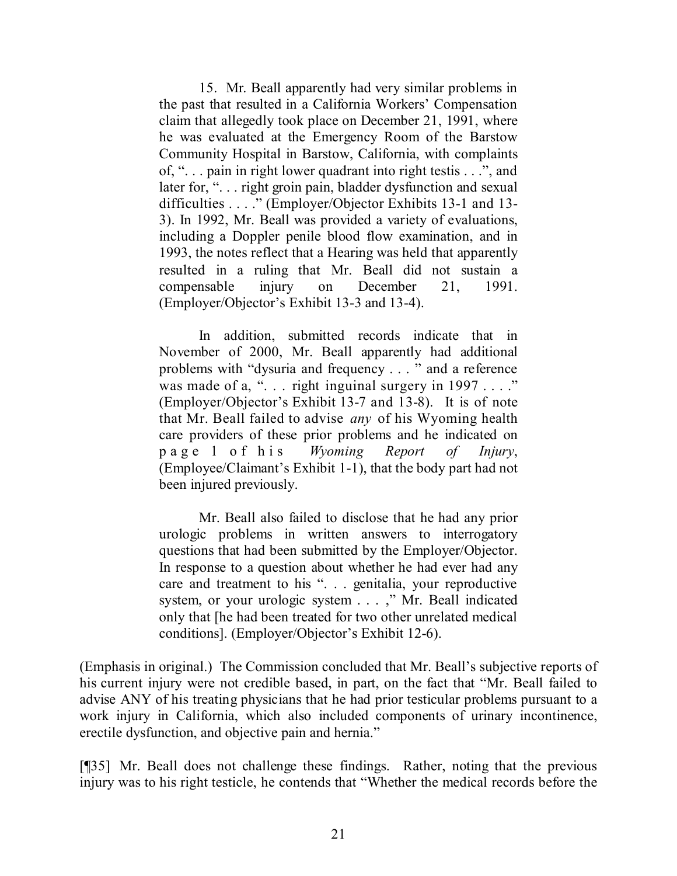15. Mr. Beall apparently had very similar problems in the past that resulted in a California Workers' Compensation claim that allegedly took place on December 21, 1991, where he was evaluated at the Emergency Room of the Barstow Community Hospital in Barstow, California, with complaints of, ". . . pain in right lower quadrant into right testis . . .", and later for, "... right groin pain, bladder dysfunction and sexual difficulties . . . ." (Employer/Objector Exhibits 13-1 and 13- 3). In 1992, Mr. Beall was provided a variety of evaluations, including a Doppler penile blood flow examination, and in 1993, the notes reflect that a Hearing was held that apparently resulted in a ruling that Mr. Beall did not sustain a compensable injury on December 21, 1991. (Employer/Objector's Exhibit 13-3 and 13-4).

In addition, submitted records indicate that in November of 2000, Mr. Beall apparently had additional problems with "dysuria and frequency . . . " and a reference was made of a, "... right inguinal surgery in 1997 ...." (Employer/Objector's Exhibit 13-7 and 13-8). It is of note that Mr. Beall failed to advise *any* of his Wyoming health care providers of these prior problems and he indicated on page 1 of his *Wyoming Report of Injury*, (Employee/Claimant's Exhibit 1-1), that the body part had not been injured previously.

Mr. Beall also failed to disclose that he had any prior urologic problems in written answers to interrogatory questions that had been submitted by the Employer/Objector. In response to a question about whether he had ever had any care and treatment to his ". . . genitalia, your reproductive system, or your urologic system . . . ," Mr. Beall indicated only that [he had been treated for two other unrelated medical conditions]. (Employer/Objector's Exhibit 12-6).

(Emphasis in original.) The Commission concluded that Mr. Beall's subjective reports of his current injury were not credible based, in part, on the fact that "Mr. Beall failed to advise ANY of his treating physicians that he had prior testicular problems pursuant to a work injury in California, which also included components of urinary incontinence, erectile dysfunction, and objective pain and hernia."

[¶35] Mr. Beall does not challenge these findings. Rather, noting that the previous injury was to his right testicle, he contends that "Whether the medical records before the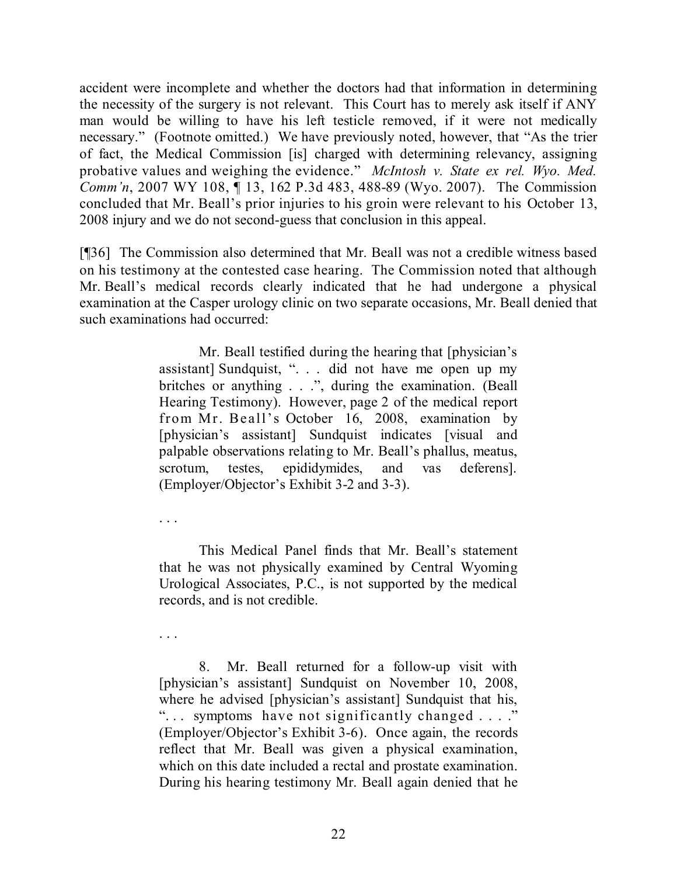accident were incomplete and whether the doctors had that information in determining the necessity of the surgery is not relevant. This Court has to merely ask itself if ANY man would be willing to have his left testicle removed, if it were not medically necessary." (Footnote omitted.) We have previously noted, however, that "As the trier of fact, the Medical Commission [is] charged with determining relevancy, assigning probative values and weighing the evidence." *McIntosh v. State ex rel. Wyo. Med. Comm'n*, 2007 WY 108, ¶ 13, 162 P.3d 483, 488-89 (Wyo. 2007). The Commission concluded that Mr. Beall's prior injuries to his groin were relevant to his October 13, 2008 injury and we do not second-guess that conclusion in this appeal.

[¶36] The Commission also determined that Mr. Beall was not a credible witness based on his testimony at the contested case hearing. The Commission noted that although Mr. Beall's medical records clearly indicated that he had undergone a physical examination at the Casper urology clinic on two separate occasions, Mr. Beall denied that such examinations had occurred:

> Mr. Beall testified during the hearing that [physician's assistant] Sundquist, ". . . did not have me open up my britches or anything . . .", during the examination. (Beall Hearing Testimony). However, page 2 of the medical report from Mr. Beall's October 16, 2008, examination by [physician's assistant] Sundquist indicates [visual and palpable observations relating to Mr. Beall's phallus, meatus, scrotum, testes, epididymides, and vas deferens]. (Employer/Objector's Exhibit 3-2 and 3-3).

. . .

This Medical Panel finds that Mr. Beall's statement that he was not physically examined by Central Wyoming Urological Associates, P.C., is not supported by the medical records, and is not credible.

. . .

8. Mr. Beall returned for a follow-up visit with [physician's assistant] Sundquist on November 10, 2008, where he advised [physician's assistant] Sundquist that his, "... symptoms have not significantly changed ..." (Employer/Objector's Exhibit 3-6). Once again, the records reflect that Mr. Beall was given a physical examination, which on this date included a rectal and prostate examination. During his hearing testimony Mr. Beall again denied that he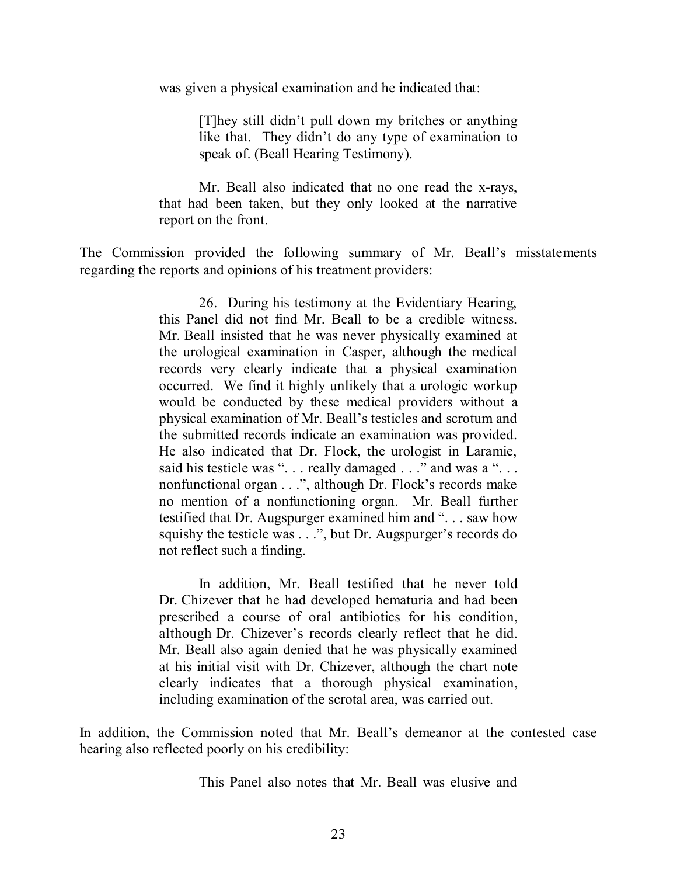was given a physical examination and he indicated that:

[T]hey still didn't pull down my britches or anything like that. They didn't do any type of examination to speak of. (Beall Hearing Testimony).

Mr. Beall also indicated that no one read the x-rays, that had been taken, but they only looked at the narrative report on the front.

The Commission provided the following summary of Mr. Beall's misstatements regarding the reports and opinions of his treatment providers:

> 26. During his testimony at the Evidentiary Hearing, this Panel did not find Mr. Beall to be a credible witness. Mr. Beall insisted that he was never physically examined at the urological examination in Casper, although the medical records very clearly indicate that a physical examination occurred. We find it highly unlikely that a urologic workup would be conducted by these medical providers without a physical examination of Mr. Beall's testicles and scrotum and the submitted records indicate an examination was provided. He also indicated that Dr. Flock, the urologist in Laramie, said his testicle was "... really damaged ..." and was a "... nonfunctional organ . . .", although Dr. Flock's records make no mention of a nonfunctioning organ. Mr. Beall further testified that Dr. Augspurger examined him and ". . . saw how squishy the testicle was . . .", but Dr. Augspurger's records do not reflect such a finding.

> In addition, Mr. Beall testified that he never told Dr. Chizever that he had developed hematuria and had been prescribed a course of oral antibiotics for his condition, although Dr. Chizever's records clearly reflect that he did. Mr. Beall also again denied that he was physically examined at his initial visit with Dr. Chizever, although the chart note clearly indicates that a thorough physical examination, including examination of the scrotal area, was carried out.

In addition, the Commission noted that Mr. Beall's demeanor at the contested case hearing also reflected poorly on his credibility:

This Panel also notes that Mr. Beall was elusive and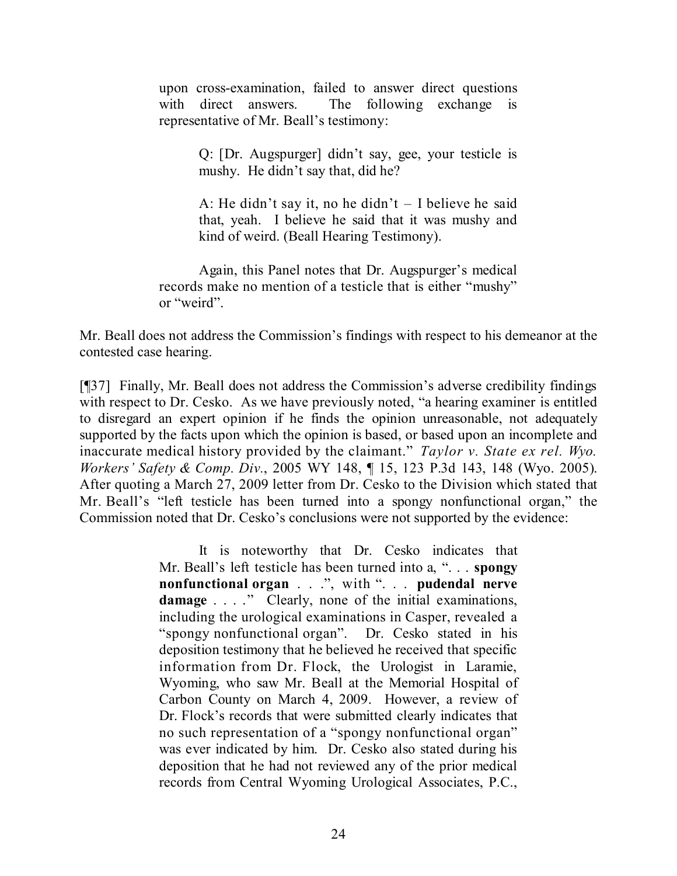upon cross-examination, failed to answer direct questions with direct answers. The following exchange is representative of Mr. Beall's testimony:

> Q: [Dr. Augspurger] didn't say, gee, your testicle is mushy. He didn't say that, did he?

> A: He didn't say it, no he didn't – I believe he said that, yeah. I believe he said that it was mushy and kind of weird. (Beall Hearing Testimony).

Again, this Panel notes that Dr. Augspurger's medical records make no mention of a testicle that is either "mushy" or "weird".

Mr. Beall does not address the Commission's findings with respect to his demeanor at the contested case hearing.

[¶37] Finally, Mr. Beall does not address the Commission's adverse credibility findings with respect to Dr. Cesko. As we have previously noted, "a hearing examiner is entitled to disregard an expert opinion if he finds the opinion unreasonable, not adequately supported by the facts upon which the opinion is based, or based upon an incomplete and inaccurate medical history provided by the claimant." *Taylor v. State ex rel. Wyo. Workers' Safety & Comp. Div.*, 2005 WY 148, ¶ 15, 123 P.3d 143, 148 (Wyo. 2005). After quoting a March 27, 2009 letter from Dr. Cesko to the Division which stated that Mr. Beall's "left testicle has been turned into a spongy nonfunctional organ," the Commission noted that Dr. Cesko's conclusions were not supported by the evidence:

> It is noteworthy that Dr. Cesko indicates that Mr. Beall's left testicle has been turned into a, ". . . **spongy nonfunctional organ** . . .", with ". . . **pudendal nerve damage** . . . ." Clearly, none of the initial examinations, including the urological examinations in Casper, revealed a "spongy nonfunctional organ". Dr. Cesko stated in his deposition testimony that he believed he received that specific information from Dr. Flock, the Urologist in Laramie, Wyoming, who saw Mr. Beall at the Memorial Hospital of Carbon County on March 4, 2009. However, a review of Dr. Flock's records that were submitted clearly indicates that no such representation of a "spongy nonfunctional organ" was ever indicated by him. Dr. Cesko also stated during his deposition that he had not reviewed any of the prior medical records from Central Wyoming Urological Associates, P.C.,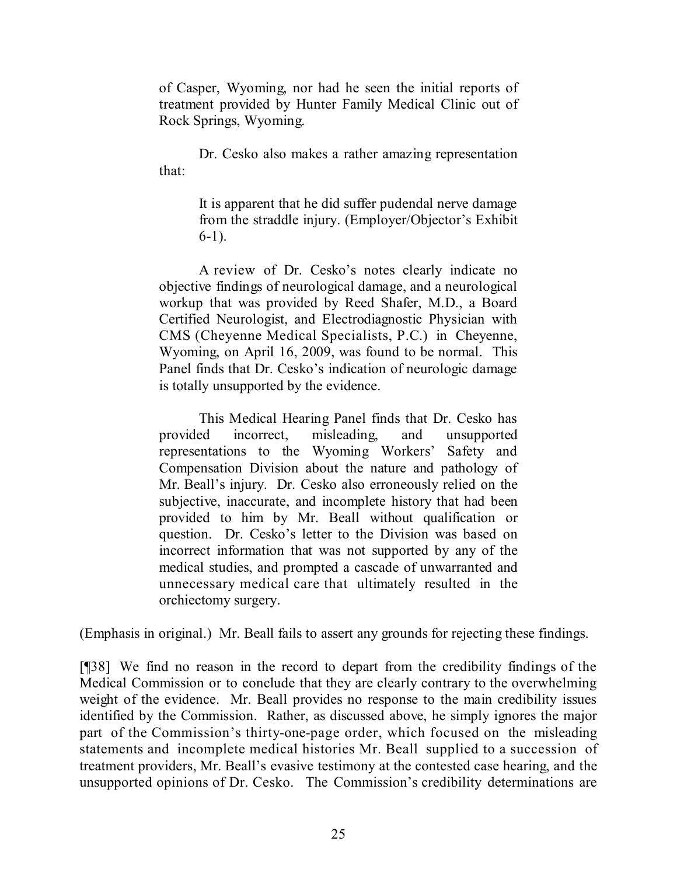of Casper, Wyoming, nor had he seen the initial reports of treatment provided by Hunter Family Medical Clinic out of Rock Springs, Wyoming.

Dr. Cesko also makes a rather amazing representation that:

> It is apparent that he did suffer pudendal nerve damage from the straddle injury. (Employer/Objector's Exhibit 6-1).

A review of Dr. Cesko's notes clearly indicate no objective findings of neurological damage, and a neurological workup that was provided by Reed Shafer, M.D., a Board Certified Neurologist, and Electrodiagnostic Physician with CMS (Cheyenne Medical Specialists, P.C.) in Cheyenne, Wyoming, on April 16, 2009, was found to be normal. This Panel finds that Dr. Cesko's indication of neurologic damage is totally unsupported by the evidence.

This Medical Hearing Panel finds that Dr. Cesko has provided incorrect, misleading, and unsupported representations to the Wyoming Workers' Safety and Compensation Division about the nature and pathology of Mr. Beall's injury. Dr. Cesko also erroneously relied on the subjective, inaccurate, and incomplete history that had been provided to him by Mr. Beall without qualification or question. Dr. Cesko's letter to the Division was based on incorrect information that was not supported by any of the medical studies, and prompted a cascade of unwarranted and unnecessary medical care that ultimately resulted in the orchiectomy surgery.

(Emphasis in original.) Mr. Beall fails to assert any grounds for rejecting these findings.

[¶38] We find no reason in the record to depart from the credibility findings of the Medical Commission or to conclude that they are clearly contrary to the overwhelming weight of the evidence. Mr. Beall provides no response to the main credibility issues identified by the Commission. Rather, as discussed above, he simply ignores the major part of the Commission's thirty-one-page order, which focused on the misleading statements and incomplete medical histories Mr. Beall supplied to a succession of treatment providers, Mr. Beall's evasive testimony at the contested case hearing, and the unsupported opinions of Dr. Cesko. The Commission's credibility determinations are